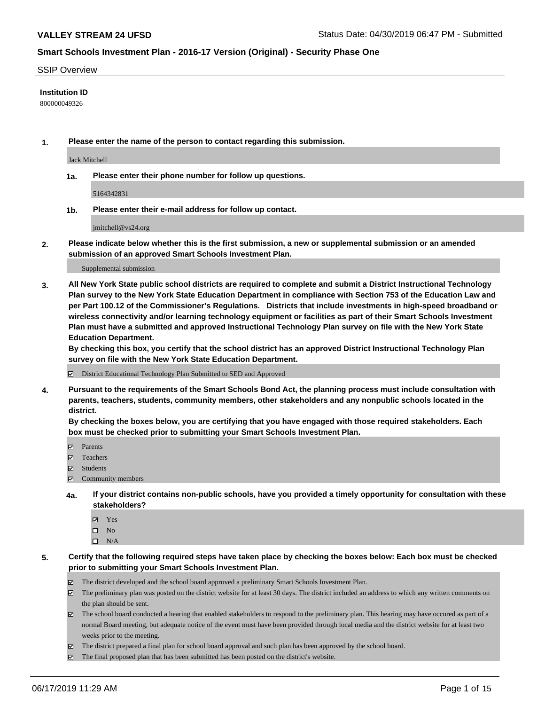#### SSIP Overview

## **Institution ID**

800000049326

**1. Please enter the name of the person to contact regarding this submission.**

Jack Mitchell

**1a. Please enter their phone number for follow up questions.**

5164342831

**1b. Please enter their e-mail address for follow up contact.**

jmitchell@vs24.org

**2. Please indicate below whether this is the first submission, a new or supplemental submission or an amended submission of an approved Smart Schools Investment Plan.**

#### Supplemental submission

**3. All New York State public school districts are required to complete and submit a District Instructional Technology Plan survey to the New York State Education Department in compliance with Section 753 of the Education Law and per Part 100.12 of the Commissioner's Regulations. Districts that include investments in high-speed broadband or wireless connectivity and/or learning technology equipment or facilities as part of their Smart Schools Investment Plan must have a submitted and approved Instructional Technology Plan survey on file with the New York State Education Department.** 

**By checking this box, you certify that the school district has an approved District Instructional Technology Plan survey on file with the New York State Education Department.**

District Educational Technology Plan Submitted to SED and Approved

**4. Pursuant to the requirements of the Smart Schools Bond Act, the planning process must include consultation with parents, teachers, students, community members, other stakeholders and any nonpublic schools located in the district.** 

**By checking the boxes below, you are certifying that you have engaged with those required stakeholders. Each box must be checked prior to submitting your Smart Schools Investment Plan.**

- Parents
- Teachers
- Students
- Community members
- **4a. If your district contains non-public schools, have you provided a timely opportunity for consultation with these stakeholders?**
	- Yes
	- $\square$  No
	- $\square$  N/A
- **5. Certify that the following required steps have taken place by checking the boxes below: Each box must be checked prior to submitting your Smart Schools Investment Plan.**
	- The district developed and the school board approved a preliminary Smart Schools Investment Plan.
	- $\boxtimes$  The preliminary plan was posted on the district website for at least 30 days. The district included an address to which any written comments on the plan should be sent.
	- $\boxtimes$  The school board conducted a hearing that enabled stakeholders to respond to the preliminary plan. This hearing may have occured as part of a normal Board meeting, but adequate notice of the event must have been provided through local media and the district website for at least two weeks prior to the meeting.
	- The district prepared a final plan for school board approval and such plan has been approved by the school board.
	- $\boxtimes$  The final proposed plan that has been submitted has been posted on the district's website.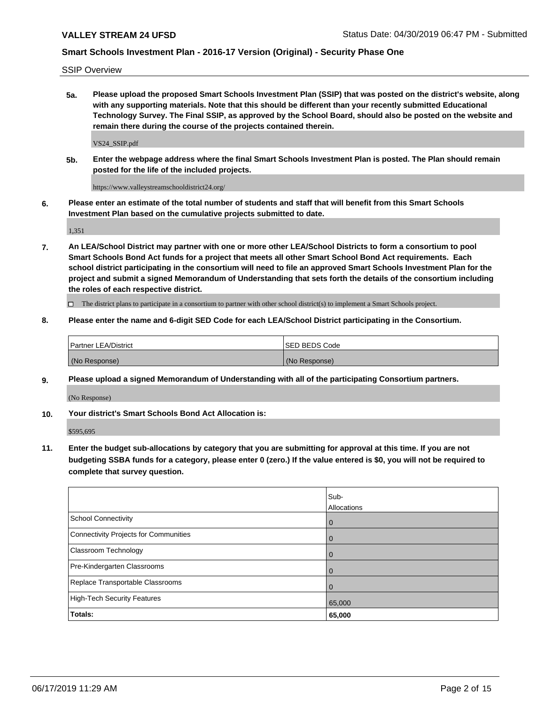SSIP Overview

**5a. Please upload the proposed Smart Schools Investment Plan (SSIP) that was posted on the district's website, along with any supporting materials. Note that this should be different than your recently submitted Educational Technology Survey. The Final SSIP, as approved by the School Board, should also be posted on the website and remain there during the course of the projects contained therein.**

VS24\_SSIP.pdf

**5b. Enter the webpage address where the final Smart Schools Investment Plan is posted. The Plan should remain posted for the life of the included projects.**

https://www.valleystreamschooldistrict24.org/

**6. Please enter an estimate of the total number of students and staff that will benefit from this Smart Schools Investment Plan based on the cumulative projects submitted to date.**

1,351

**7. An LEA/School District may partner with one or more other LEA/School Districts to form a consortium to pool Smart Schools Bond Act funds for a project that meets all other Smart School Bond Act requirements. Each school district participating in the consortium will need to file an approved Smart Schools Investment Plan for the project and submit a signed Memorandum of Understanding that sets forth the details of the consortium including the roles of each respective district.**

 $\Box$  The district plans to participate in a consortium to partner with other school district(s) to implement a Smart Schools project.

## **8. Please enter the name and 6-digit SED Code for each LEA/School District participating in the Consortium.**

| Partner LEA/District | <b>ISED BEDS Code</b> |
|----------------------|-----------------------|
| (No Response)        | (No Response)         |

#### **9. Please upload a signed Memorandum of Understanding with all of the participating Consortium partners.**

(No Response)

**10. Your district's Smart Schools Bond Act Allocation is:**

\$595,695

**11. Enter the budget sub-allocations by category that you are submitting for approval at this time. If you are not budgeting SSBA funds for a category, please enter 0 (zero.) If the value entered is \$0, you will not be required to complete that survey question.**

|                                       | Sub-<br><b>Allocations</b> |
|---------------------------------------|----------------------------|
| <b>School Connectivity</b>            | $\mathbf 0$                |
| Connectivity Projects for Communities | $\overline{0}$             |
| Classroom Technology                  | $\mathbf 0$                |
| Pre-Kindergarten Classrooms           | 0                          |
| Replace Transportable Classrooms      | $\Omega$                   |
| High-Tech Security Features           | 65,000                     |
| Totals:                               | 65,000                     |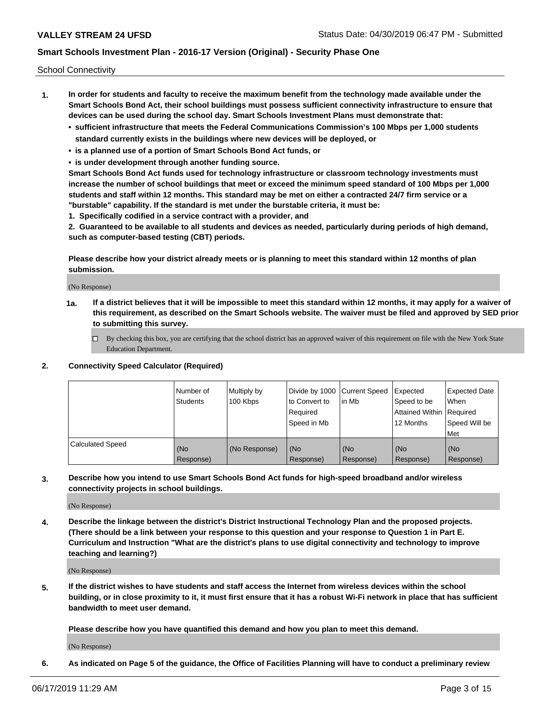School Connectivity

- **1. In order for students and faculty to receive the maximum benefit from the technology made available under the Smart Schools Bond Act, their school buildings must possess sufficient connectivity infrastructure to ensure that devices can be used during the school day. Smart Schools Investment Plans must demonstrate that:**
	- **• sufficient infrastructure that meets the Federal Communications Commission's 100 Mbps per 1,000 students standard currently exists in the buildings where new devices will be deployed, or**
	- **• is a planned use of a portion of Smart Schools Bond Act funds, or**
	- **• is under development through another funding source.**

**Smart Schools Bond Act funds used for technology infrastructure or classroom technology investments must increase the number of school buildings that meet or exceed the minimum speed standard of 100 Mbps per 1,000 students and staff within 12 months. This standard may be met on either a contracted 24/7 firm service or a "burstable" capability. If the standard is met under the burstable criteria, it must be:**

**1. Specifically codified in a service contract with a provider, and**

**2. Guaranteed to be available to all students and devices as needed, particularly during periods of high demand, such as computer-based testing (CBT) periods.**

**Please describe how your district already meets or is planning to meet this standard within 12 months of plan submission.**

(No Response)

**1a. If a district believes that it will be impossible to meet this standard within 12 months, it may apply for a waiver of this requirement, as described on the Smart Schools website. The waiver must be filed and approved by SED prior to submitting this survey.**

 $\Box$  By checking this box, you are certifying that the school district has an approved waiver of this requirement on file with the New York State Education Department.

## **2. Connectivity Speed Calculator (Required)**

|                         | l Number of<br>Students | Multiply by<br>100 Kbps | Divide by 1000 Current Speed<br>to Convert to<br>Required<br>l Speed in Mb | lin Mb           | Expected<br>Speed to be<br>Attained Within   Required<br>12 Months | <b>Expected Date</b><br>When<br>Speed Will be<br>Met |
|-------------------------|-------------------------|-------------------------|----------------------------------------------------------------------------|------------------|--------------------------------------------------------------------|------------------------------------------------------|
| <b>Calculated Speed</b> | (No<br>Response)        | (No Response)           | (No<br>Response)                                                           | (No<br>Response) | (No<br>Response)                                                   | (No<br>Response)                                     |

**3. Describe how you intend to use Smart Schools Bond Act funds for high-speed broadband and/or wireless connectivity projects in school buildings.**

(No Response)

**4. Describe the linkage between the district's District Instructional Technology Plan and the proposed projects. (There should be a link between your response to this question and your response to Question 1 in Part E. Curriculum and Instruction "What are the district's plans to use digital connectivity and technology to improve teaching and learning?)**

(No Response)

**5. If the district wishes to have students and staff access the Internet from wireless devices within the school building, or in close proximity to it, it must first ensure that it has a robust Wi-Fi network in place that has sufficient bandwidth to meet user demand.**

**Please describe how you have quantified this demand and how you plan to meet this demand.**

(No Response)

**6. As indicated on Page 5 of the guidance, the Office of Facilities Planning will have to conduct a preliminary review**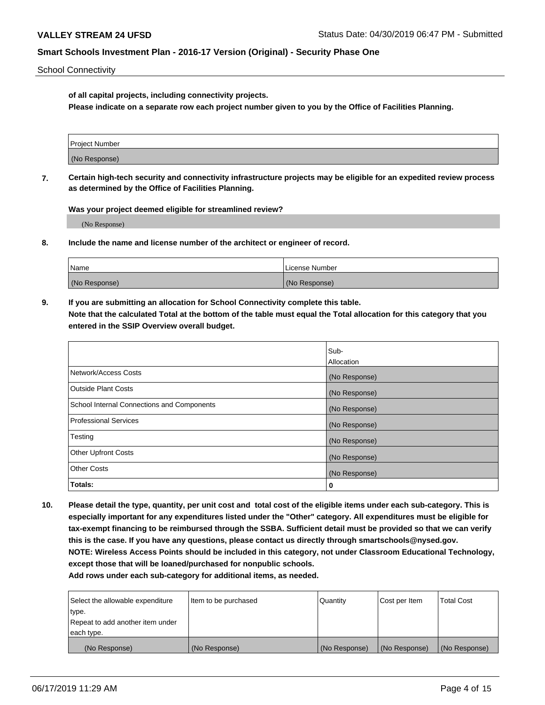School Connectivity

**of all capital projects, including connectivity projects.**

**Please indicate on a separate row each project number given to you by the Office of Facilities Planning.**

| Project Number |  |
|----------------|--|
|                |  |
| (No Response)  |  |
|                |  |

**7. Certain high-tech security and connectivity infrastructure projects may be eligible for an expedited review process as determined by the Office of Facilities Planning.**

**Was your project deemed eligible for streamlined review?**

(No Response)

**8. Include the name and license number of the architect or engineer of record.**

| Name          | License Number |
|---------------|----------------|
| (No Response) | (No Response)  |

**9. If you are submitting an allocation for School Connectivity complete this table. Note that the calculated Total at the bottom of the table must equal the Total allocation for this category that you entered in the SSIP Overview overall budget.** 

|                                            | Sub-              |
|--------------------------------------------|-------------------|
|                                            | <b>Allocation</b> |
| Network/Access Costs                       | (No Response)     |
| <b>Outside Plant Costs</b>                 | (No Response)     |
| School Internal Connections and Components | (No Response)     |
| <b>Professional Services</b>               | (No Response)     |
| Testing                                    | (No Response)     |
| <b>Other Upfront Costs</b>                 | (No Response)     |
| <b>Other Costs</b>                         | (No Response)     |
| Totals:                                    | 0                 |

**10. Please detail the type, quantity, per unit cost and total cost of the eligible items under each sub-category. This is especially important for any expenditures listed under the "Other" category. All expenditures must be eligible for tax-exempt financing to be reimbursed through the SSBA. Sufficient detail must be provided so that we can verify this is the case. If you have any questions, please contact us directly through smartschools@nysed.gov. NOTE: Wireless Access Points should be included in this category, not under Classroom Educational Technology, except those that will be loaned/purchased for nonpublic schools.**

| Select the allowable expenditure | Item to be purchased | Quantity      | Cost per Item | <b>Total Cost</b> |
|----------------------------------|----------------------|---------------|---------------|-------------------|
| type.                            |                      |               |               |                   |
| Repeat to add another item under |                      |               |               |                   |
| each type.                       |                      |               |               |                   |
| (No Response)                    | (No Response)        | (No Response) | (No Response) | (No Response)     |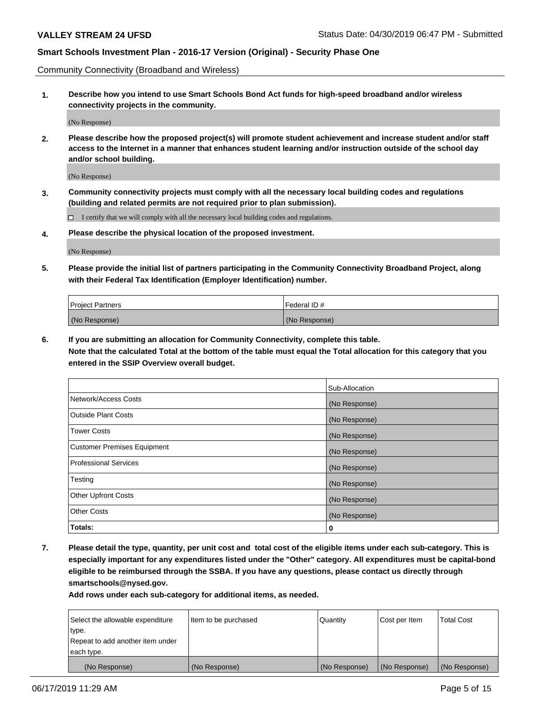Community Connectivity (Broadband and Wireless)

**1. Describe how you intend to use Smart Schools Bond Act funds for high-speed broadband and/or wireless connectivity projects in the community.**

(No Response)

**2. Please describe how the proposed project(s) will promote student achievement and increase student and/or staff access to the Internet in a manner that enhances student learning and/or instruction outside of the school day and/or school building.**

(No Response)

**3. Community connectivity projects must comply with all the necessary local building codes and regulations (building and related permits are not required prior to plan submission).**

 $\Box$  I certify that we will comply with all the necessary local building codes and regulations.

**4. Please describe the physical location of the proposed investment.**

(No Response)

**5. Please provide the initial list of partners participating in the Community Connectivity Broadband Project, along with their Federal Tax Identification (Employer Identification) number.**

| <b>Project Partners</b> | Federal ID#   |
|-------------------------|---------------|
| (No Response)           | (No Response) |

**6. If you are submitting an allocation for Community Connectivity, complete this table.**

**Note that the calculated Total at the bottom of the table must equal the Total allocation for this category that you entered in the SSIP Overview overall budget.**

|                                    | Sub-Allocation |
|------------------------------------|----------------|
| Network/Access Costs               | (No Response)  |
| <b>Outside Plant Costs</b>         | (No Response)  |
| <b>Tower Costs</b>                 | (No Response)  |
| <b>Customer Premises Equipment</b> | (No Response)  |
| <b>Professional Services</b>       | (No Response)  |
| Testing                            | (No Response)  |
| <b>Other Upfront Costs</b>         | (No Response)  |
| <b>Other Costs</b>                 | (No Response)  |
| Totals:                            | 0              |

**7. Please detail the type, quantity, per unit cost and total cost of the eligible items under each sub-category. This is especially important for any expenditures listed under the "Other" category. All expenditures must be capital-bond eligible to be reimbursed through the SSBA. If you have any questions, please contact us directly through smartschools@nysed.gov.**

| Select the allowable expenditure<br>type.      | Item to be purchased | Quantity      | Cost per Item | <b>Total Cost</b> |
|------------------------------------------------|----------------------|---------------|---------------|-------------------|
| Repeat to add another item under<br>each type. |                      |               |               |                   |
| (No Response)                                  | (No Response)        | (No Response) | (No Response) | (No Response)     |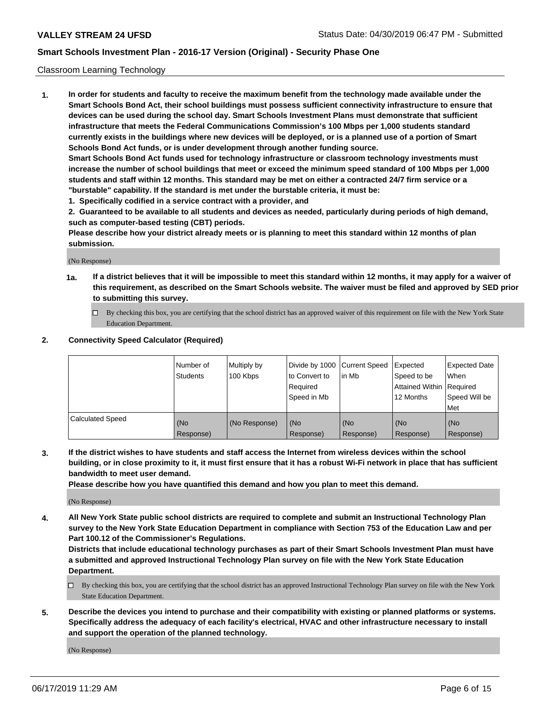## Classroom Learning Technology

**1. In order for students and faculty to receive the maximum benefit from the technology made available under the Smart Schools Bond Act, their school buildings must possess sufficient connectivity infrastructure to ensure that devices can be used during the school day. Smart Schools Investment Plans must demonstrate that sufficient infrastructure that meets the Federal Communications Commission's 100 Mbps per 1,000 students standard currently exists in the buildings where new devices will be deployed, or is a planned use of a portion of Smart Schools Bond Act funds, or is under development through another funding source. Smart Schools Bond Act funds used for technology infrastructure or classroom technology investments must increase the number of school buildings that meet or exceed the minimum speed standard of 100 Mbps per 1,000**

**students and staff within 12 months. This standard may be met on either a contracted 24/7 firm service or a "burstable" capability. If the standard is met under the burstable criteria, it must be:**

**1. Specifically codified in a service contract with a provider, and**

**2. Guaranteed to be available to all students and devices as needed, particularly during periods of high demand, such as computer-based testing (CBT) periods.**

**Please describe how your district already meets or is planning to meet this standard within 12 months of plan submission.**

(No Response)

- **1a. If a district believes that it will be impossible to meet this standard within 12 months, it may apply for a waiver of this requirement, as described on the Smart Schools website. The waiver must be filed and approved by SED prior to submitting this survey.**
	- By checking this box, you are certifying that the school district has an approved waiver of this requirement on file with the New York State Education Department.

#### **2. Connectivity Speed Calculator (Required)**

|                         | l Number of<br>Students | Multiply by<br>100 Kbps | to Convert to<br>Required<br>Speed in Mb | Divide by 1000 Current Speed Expected<br>lin Mb | Speed to be<br>Attained Within Required<br>12 Months | <b>Expected Date</b><br>When<br>Speed Will be<br>Met |
|-------------------------|-------------------------|-------------------------|------------------------------------------|-------------------------------------------------|------------------------------------------------------|------------------------------------------------------|
| <b>Calculated Speed</b> | (No<br>Response)        | (No Response)           | (No<br>Response)                         | (No<br>Response)                                | (No<br>Response)                                     | (No<br>Response)                                     |

**3. If the district wishes to have students and staff access the Internet from wireless devices within the school building, or in close proximity to it, it must first ensure that it has a robust Wi-Fi network in place that has sufficient bandwidth to meet user demand.**

**Please describe how you have quantified this demand and how you plan to meet this demand.**

(No Response)

**4. All New York State public school districts are required to complete and submit an Instructional Technology Plan survey to the New York State Education Department in compliance with Section 753 of the Education Law and per Part 100.12 of the Commissioner's Regulations.**

**Districts that include educational technology purchases as part of their Smart Schools Investment Plan must have a submitted and approved Instructional Technology Plan survey on file with the New York State Education Department.**

- $\Box$  By checking this box, you are certifying that the school district has an approved Instructional Technology Plan survey on file with the New York State Education Department.
- **5. Describe the devices you intend to purchase and their compatibility with existing or planned platforms or systems. Specifically address the adequacy of each facility's electrical, HVAC and other infrastructure necessary to install and support the operation of the planned technology.**

(No Response)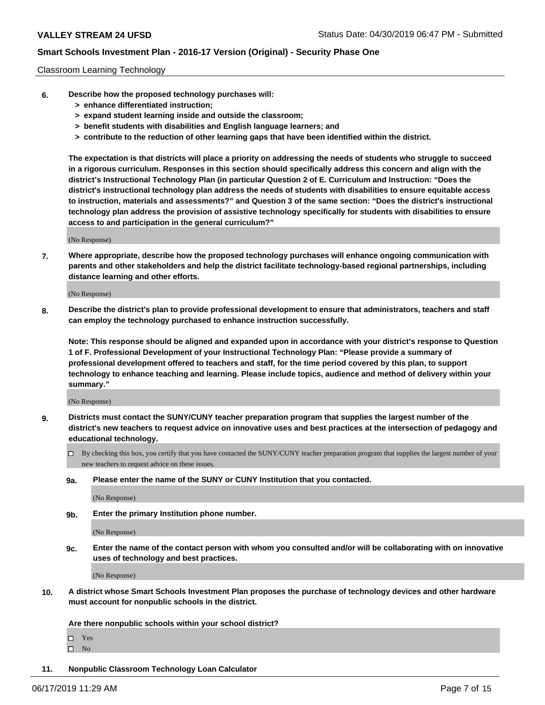## Classroom Learning Technology

- **6. Describe how the proposed technology purchases will:**
	- **> enhance differentiated instruction;**
	- **> expand student learning inside and outside the classroom;**
	- **> benefit students with disabilities and English language learners; and**
	- **> contribute to the reduction of other learning gaps that have been identified within the district.**

**The expectation is that districts will place a priority on addressing the needs of students who struggle to succeed in a rigorous curriculum. Responses in this section should specifically address this concern and align with the district's Instructional Technology Plan (in particular Question 2 of E. Curriculum and Instruction: "Does the district's instructional technology plan address the needs of students with disabilities to ensure equitable access to instruction, materials and assessments?" and Question 3 of the same section: "Does the district's instructional technology plan address the provision of assistive technology specifically for students with disabilities to ensure access to and participation in the general curriculum?"**

(No Response)

**7. Where appropriate, describe how the proposed technology purchases will enhance ongoing communication with parents and other stakeholders and help the district facilitate technology-based regional partnerships, including distance learning and other efforts.**

(No Response)

**8. Describe the district's plan to provide professional development to ensure that administrators, teachers and staff can employ the technology purchased to enhance instruction successfully.**

**Note: This response should be aligned and expanded upon in accordance with your district's response to Question 1 of F. Professional Development of your Instructional Technology Plan: "Please provide a summary of professional development offered to teachers and staff, for the time period covered by this plan, to support technology to enhance teaching and learning. Please include topics, audience and method of delivery within your summary."**

(No Response)

- **9. Districts must contact the SUNY/CUNY teacher preparation program that supplies the largest number of the district's new teachers to request advice on innovative uses and best practices at the intersection of pedagogy and educational technology.**
	- By checking this box, you certify that you have contacted the SUNY/CUNY teacher preparation program that supplies the largest number of your new teachers to request advice on these issues.
	- **9a. Please enter the name of the SUNY or CUNY Institution that you contacted.**

(No Response)

**9b. Enter the primary Institution phone number.**

(No Response)

**9c. Enter the name of the contact person with whom you consulted and/or will be collaborating with on innovative uses of technology and best practices.**

(No Response)

**10. A district whose Smart Schools Investment Plan proposes the purchase of technology devices and other hardware must account for nonpublic schools in the district.**

**Are there nonpublic schools within your school district?**

Yes

 $\square$  No

**11. Nonpublic Classroom Technology Loan Calculator**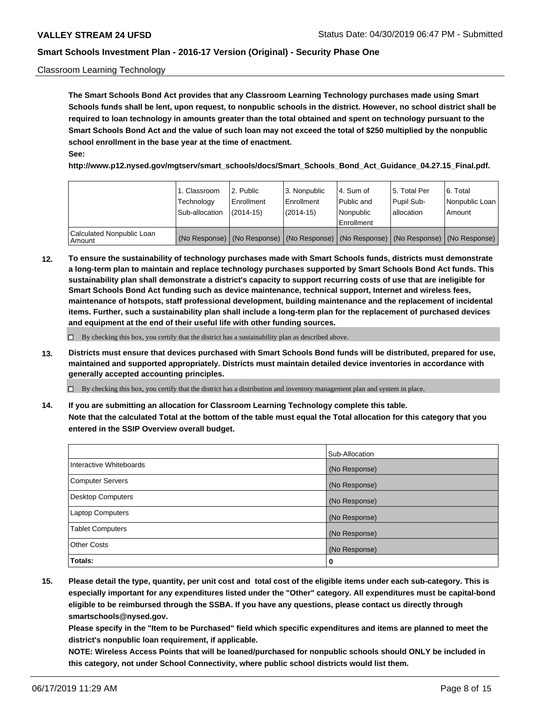## Classroom Learning Technology

**The Smart Schools Bond Act provides that any Classroom Learning Technology purchases made using Smart Schools funds shall be lent, upon request, to nonpublic schools in the district. However, no school district shall be required to loan technology in amounts greater than the total obtained and spent on technology pursuant to the Smart Schools Bond Act and the value of such loan may not exceed the total of \$250 multiplied by the nonpublic school enrollment in the base year at the time of enactment. See:**

**http://www.p12.nysed.gov/mgtserv/smart\_schools/docs/Smart\_Schools\_Bond\_Act\_Guidance\_04.27.15\_Final.pdf.**

|                                       | 1. Classroom<br>Technology<br>Sub-allocation | 2. Public<br>l Enrollment<br>$(2014 - 15)$ | l 3. Nonpublic<br>l Enrollment<br>$(2014 - 15)$ | l 4. Sum of<br>Public and<br>l Nonpublic<br>Enrollment                                        | 15. Total Per<br>Pupil Sub-<br>l allocation | l 6. Total<br>Nonpublic Loan<br>Amount |
|---------------------------------------|----------------------------------------------|--------------------------------------------|-------------------------------------------------|-----------------------------------------------------------------------------------------------|---------------------------------------------|----------------------------------------|
| Calculated Nonpublic Loan<br>l Amount |                                              |                                            |                                                 | (No Response)   (No Response)   (No Response)   (No Response)   (No Response)   (No Response) |                                             |                                        |

**12. To ensure the sustainability of technology purchases made with Smart Schools funds, districts must demonstrate a long-term plan to maintain and replace technology purchases supported by Smart Schools Bond Act funds. This sustainability plan shall demonstrate a district's capacity to support recurring costs of use that are ineligible for Smart Schools Bond Act funding such as device maintenance, technical support, Internet and wireless fees, maintenance of hotspots, staff professional development, building maintenance and the replacement of incidental items. Further, such a sustainability plan shall include a long-term plan for the replacement of purchased devices and equipment at the end of their useful life with other funding sources.**

 $\Box$  By checking this box, you certify that the district has a sustainability plan as described above.

**13. Districts must ensure that devices purchased with Smart Schools Bond funds will be distributed, prepared for use, maintained and supported appropriately. Districts must maintain detailed device inventories in accordance with generally accepted accounting principles.**

By checking this box, you certify that the district has a distribution and inventory management plan and system in place.

**14. If you are submitting an allocation for Classroom Learning Technology complete this table. Note that the calculated Total at the bottom of the table must equal the Total allocation for this category that you entered in the SSIP Overview overall budget.**

|                          | Sub-Allocation |
|--------------------------|----------------|
| Interactive Whiteboards  | (No Response)  |
| <b>Computer Servers</b>  | (No Response)  |
| <b>Desktop Computers</b> | (No Response)  |
| <b>Laptop Computers</b>  | (No Response)  |
| <b>Tablet Computers</b>  | (No Response)  |
| <b>Other Costs</b>       | (No Response)  |
| Totals:                  | 0              |

**15. Please detail the type, quantity, per unit cost and total cost of the eligible items under each sub-category. This is especially important for any expenditures listed under the "Other" category. All expenditures must be capital-bond eligible to be reimbursed through the SSBA. If you have any questions, please contact us directly through smartschools@nysed.gov.**

**Please specify in the "Item to be Purchased" field which specific expenditures and items are planned to meet the district's nonpublic loan requirement, if applicable.**

**NOTE: Wireless Access Points that will be loaned/purchased for nonpublic schools should ONLY be included in this category, not under School Connectivity, where public school districts would list them.**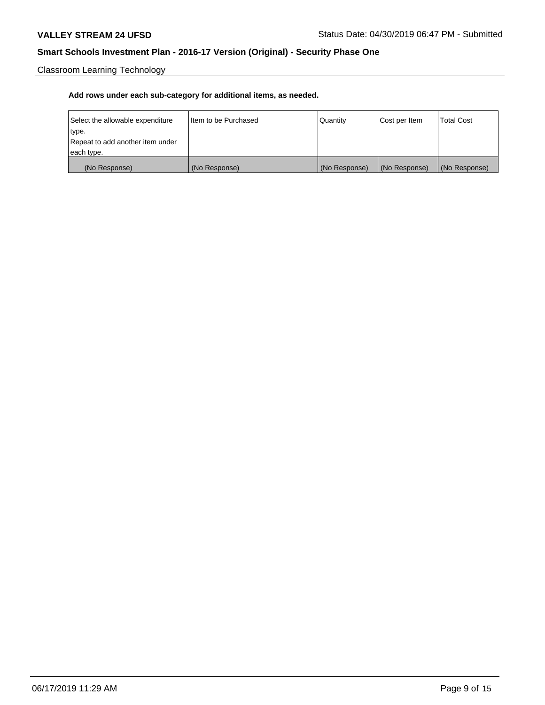Classroom Learning Technology

| Select the allowable expenditure | I Item to be Purchased | Quantity      | Cost per Item | <b>Total Cost</b> |
|----------------------------------|------------------------|---------------|---------------|-------------------|
| type.                            |                        |               |               |                   |
| Repeat to add another item under |                        |               |               |                   |
| each type.                       |                        |               |               |                   |
| (No Response)                    | (No Response)          | (No Response) | (No Response) | (No Response)     |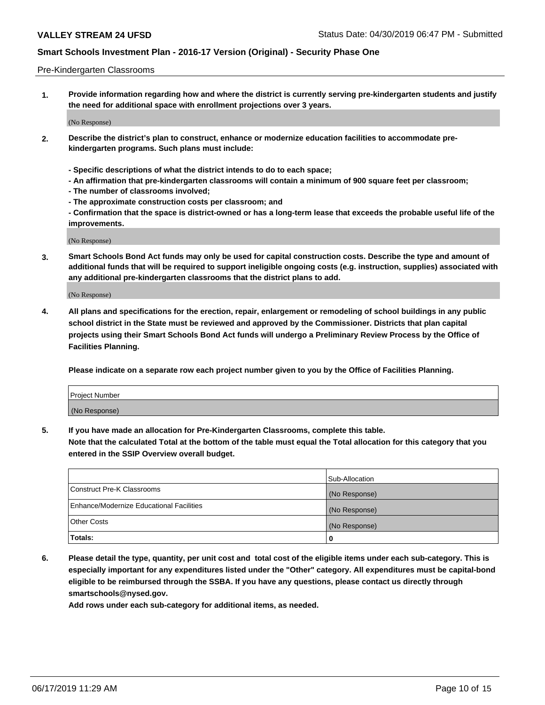#### Pre-Kindergarten Classrooms

**1. Provide information regarding how and where the district is currently serving pre-kindergarten students and justify the need for additional space with enrollment projections over 3 years.**

(No Response)

- **2. Describe the district's plan to construct, enhance or modernize education facilities to accommodate prekindergarten programs. Such plans must include:**
	- **Specific descriptions of what the district intends to do to each space;**
	- **An affirmation that pre-kindergarten classrooms will contain a minimum of 900 square feet per classroom;**
	- **The number of classrooms involved;**
	- **The approximate construction costs per classroom; and**
	- **Confirmation that the space is district-owned or has a long-term lease that exceeds the probable useful life of the improvements.**

(No Response)

**3. Smart Schools Bond Act funds may only be used for capital construction costs. Describe the type and amount of additional funds that will be required to support ineligible ongoing costs (e.g. instruction, supplies) associated with any additional pre-kindergarten classrooms that the district plans to add.**

(No Response)

**4. All plans and specifications for the erection, repair, enlargement or remodeling of school buildings in any public school district in the State must be reviewed and approved by the Commissioner. Districts that plan capital projects using their Smart Schools Bond Act funds will undergo a Preliminary Review Process by the Office of Facilities Planning.**

**Please indicate on a separate row each project number given to you by the Office of Facilities Planning.**

| Project Number |  |
|----------------|--|
| (No Response)  |  |
|                |  |

**5. If you have made an allocation for Pre-Kindergarten Classrooms, complete this table.**

**Note that the calculated Total at the bottom of the table must equal the Total allocation for this category that you entered in the SSIP Overview overall budget.**

|                                          | Sub-Allocation |
|------------------------------------------|----------------|
| Construct Pre-K Classrooms               | (No Response)  |
| Enhance/Modernize Educational Facilities | (No Response)  |
| <b>Other Costs</b>                       | (No Response)  |
| Totals:                                  | 0              |

**6. Please detail the type, quantity, per unit cost and total cost of the eligible items under each sub-category. This is especially important for any expenditures listed under the "Other" category. All expenditures must be capital-bond eligible to be reimbursed through the SSBA. If you have any questions, please contact us directly through smartschools@nysed.gov.**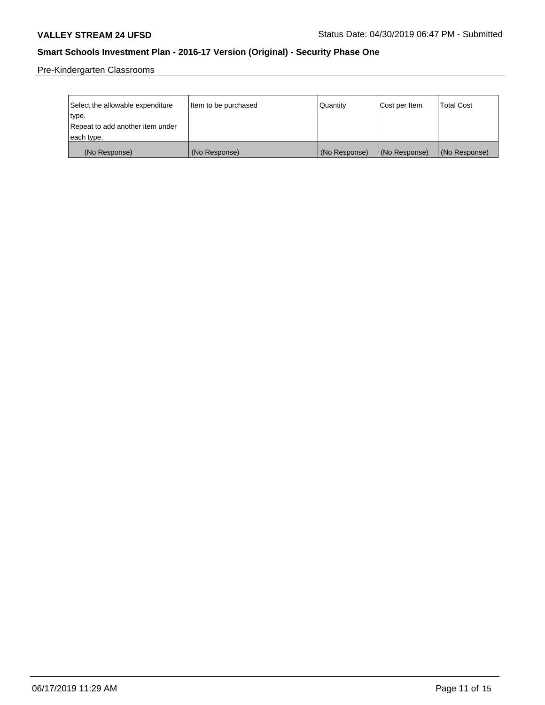Pre-Kindergarten Classrooms

| Select the allowable expenditure | Item to be purchased | Quantity      | Cost per Item | <b>Total Cost</b> |
|----------------------------------|----------------------|---------------|---------------|-------------------|
| type.                            |                      |               |               |                   |
| Repeat to add another item under |                      |               |               |                   |
| each type.                       |                      |               |               |                   |
| (No Response)                    | (No Response)        | (No Response) | (No Response) | (No Response)     |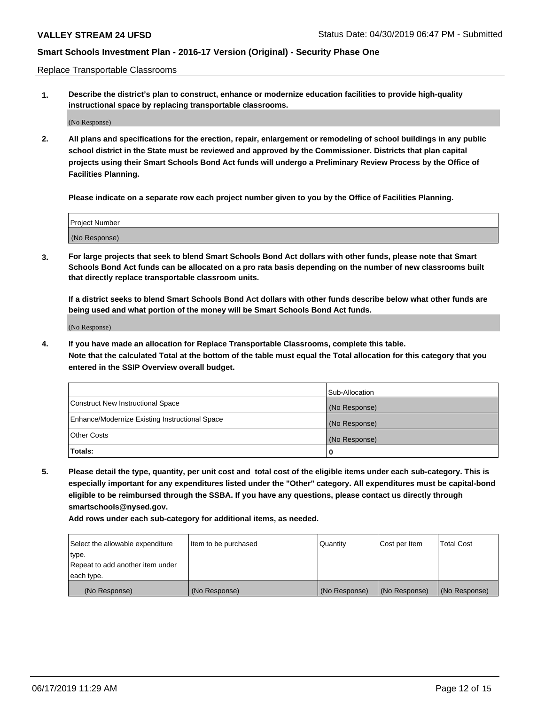Replace Transportable Classrooms

**1. Describe the district's plan to construct, enhance or modernize education facilities to provide high-quality instructional space by replacing transportable classrooms.**

(No Response)

**2. All plans and specifications for the erection, repair, enlargement or remodeling of school buildings in any public school district in the State must be reviewed and approved by the Commissioner. Districts that plan capital projects using their Smart Schools Bond Act funds will undergo a Preliminary Review Process by the Office of Facilities Planning.**

**Please indicate on a separate row each project number given to you by the Office of Facilities Planning.**

| Project Number |  |
|----------------|--|
|                |  |
| (No Response)  |  |

**3. For large projects that seek to blend Smart Schools Bond Act dollars with other funds, please note that Smart Schools Bond Act funds can be allocated on a pro rata basis depending on the number of new classrooms built that directly replace transportable classroom units.**

**If a district seeks to blend Smart Schools Bond Act dollars with other funds describe below what other funds are being used and what portion of the money will be Smart Schools Bond Act funds.**

(No Response)

**4. If you have made an allocation for Replace Transportable Classrooms, complete this table. Note that the calculated Total at the bottom of the table must equal the Total allocation for this category that you entered in the SSIP Overview overall budget.**

|                                                | Sub-Allocation |
|------------------------------------------------|----------------|
| Construct New Instructional Space              | (No Response)  |
| Enhance/Modernize Existing Instructional Space | (No Response)  |
| <b>Other Costs</b>                             | (No Response)  |
| Totals:                                        | 0              |

**5. Please detail the type, quantity, per unit cost and total cost of the eligible items under each sub-category. This is especially important for any expenditures listed under the "Other" category. All expenditures must be capital-bond eligible to be reimbursed through the SSBA. If you have any questions, please contact us directly through smartschools@nysed.gov.**

| Select the allowable expenditure | Item to be purchased | Quantity      | Cost per Item | Total Cost    |
|----------------------------------|----------------------|---------------|---------------|---------------|
| type.                            |                      |               |               |               |
| Repeat to add another item under |                      |               |               |               |
| each type.                       |                      |               |               |               |
| (No Response)                    | (No Response)        | (No Response) | (No Response) | (No Response) |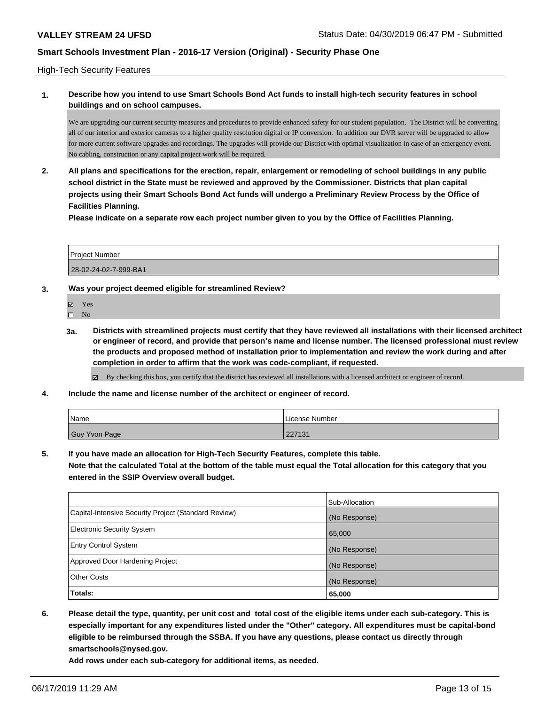#### High-Tech Security Features

## **1. Describe how you intend to use Smart Schools Bond Act funds to install high-tech security features in school buildings and on school campuses.**

We are upgrading our current security measures and procedures to provide enhanced safety for our student population. The District will be converting all of our interior and exterior cameras to a higher quality resolution digital or IP conversion. In addition our DVR server will be upgraded to allow for more current software upgrades and recordings. The upgrades will provide our District with optimal visualization in case of an emergency event. No cabling, construction or any capital project work will be required.

**2. All plans and specifications for the erection, repair, enlargement or remodeling of school buildings in any public school district in the State must be reviewed and approved by the Commissioner. Districts that plan capital projects using their Smart Schools Bond Act funds will undergo a Preliminary Review Process by the Office of Facilities Planning.** 

**Please indicate on a separate row each project number given to you by the Office of Facilities Planning.**

| <b>Project Number</b> |  |
|-----------------------|--|
| 28-02-24-02-7-999-BA1 |  |

- **3. Was your project deemed eligible for streamlined Review?**
	- Yes
	- $\square$  No
	- **3a. Districts with streamlined projects must certify that they have reviewed all installations with their licensed architect or engineer of record, and provide that person's name and license number. The licensed professional must review the products and proposed method of installation prior to implementation and review the work during and after completion in order to affirm that the work was code-compliant, if requested.**
		- By checking this box, you certify that the district has reviewed all installations with a licensed architect or engineer of record.
- **4. Include the name and license number of the architect or engineer of record.**

| Name          | License Number |
|---------------|----------------|
| Guy Yvon Page | 227131         |

**5. If you have made an allocation for High-Tech Security Features, complete this table.**

**Note that the calculated Total at the bottom of the table must equal the Total allocation for this category that you entered in the SSIP Overview overall budget.**

|                                                      | Sub-Allocation |
|------------------------------------------------------|----------------|
| Capital-Intensive Security Project (Standard Review) | (No Response)  |
| Electronic Security System                           | 65,000         |
| <b>Entry Control System</b>                          | (No Response)  |
| Approved Door Hardening Project                      | (No Response)  |
| <b>Other Costs</b>                                   | (No Response)  |
| Totals:                                              | 65,000         |

**6. Please detail the type, quantity, per unit cost and total cost of the eligible items under each sub-category. This is especially important for any expenditures listed under the "Other" category. All expenditures must be capital-bond eligible to be reimbursed through the SSBA. If you have any questions, please contact us directly through smartschools@nysed.gov.**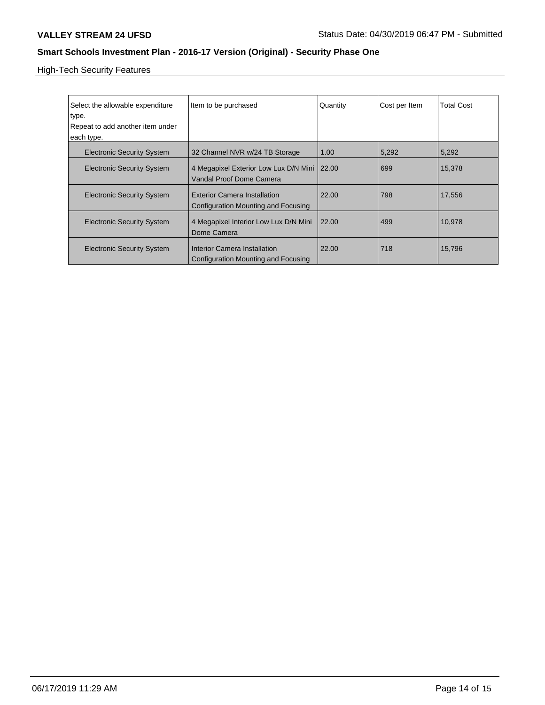High-Tech Security Features

| Select the allowable expenditure<br>type.<br>Repeat to add another item under<br>each type. | Item to be purchased                                                       | Quantity | Cost per Item | <b>Total Cost</b> |
|---------------------------------------------------------------------------------------------|----------------------------------------------------------------------------|----------|---------------|-------------------|
| <b>Electronic Security System</b>                                                           | 32 Channel NVR w/24 TB Storage                                             | 1.00     | 5,292         | 5,292             |
| <b>Electronic Security System</b>                                                           | 4 Megapixel Exterior Low Lux D/N Mini  <br>Vandal Proof Dome Camera        | 22.00    | 699           | 15,378            |
| <b>Electronic Security System</b>                                                           | <b>Exterior Camera Installation</b><br>Configuration Mounting and Focusing | 22.00    | 798           | 17,556            |
| <b>Electronic Security System</b>                                                           | 4 Megapixel Interior Low Lux D/N Mini<br>Dome Camera                       | 22.00    | 499           | 10,978            |
| <b>Electronic Security System</b>                                                           | Interior Camera Installation<br>Configuration Mounting and Focusing        | 22.00    | 718           | 15,796            |